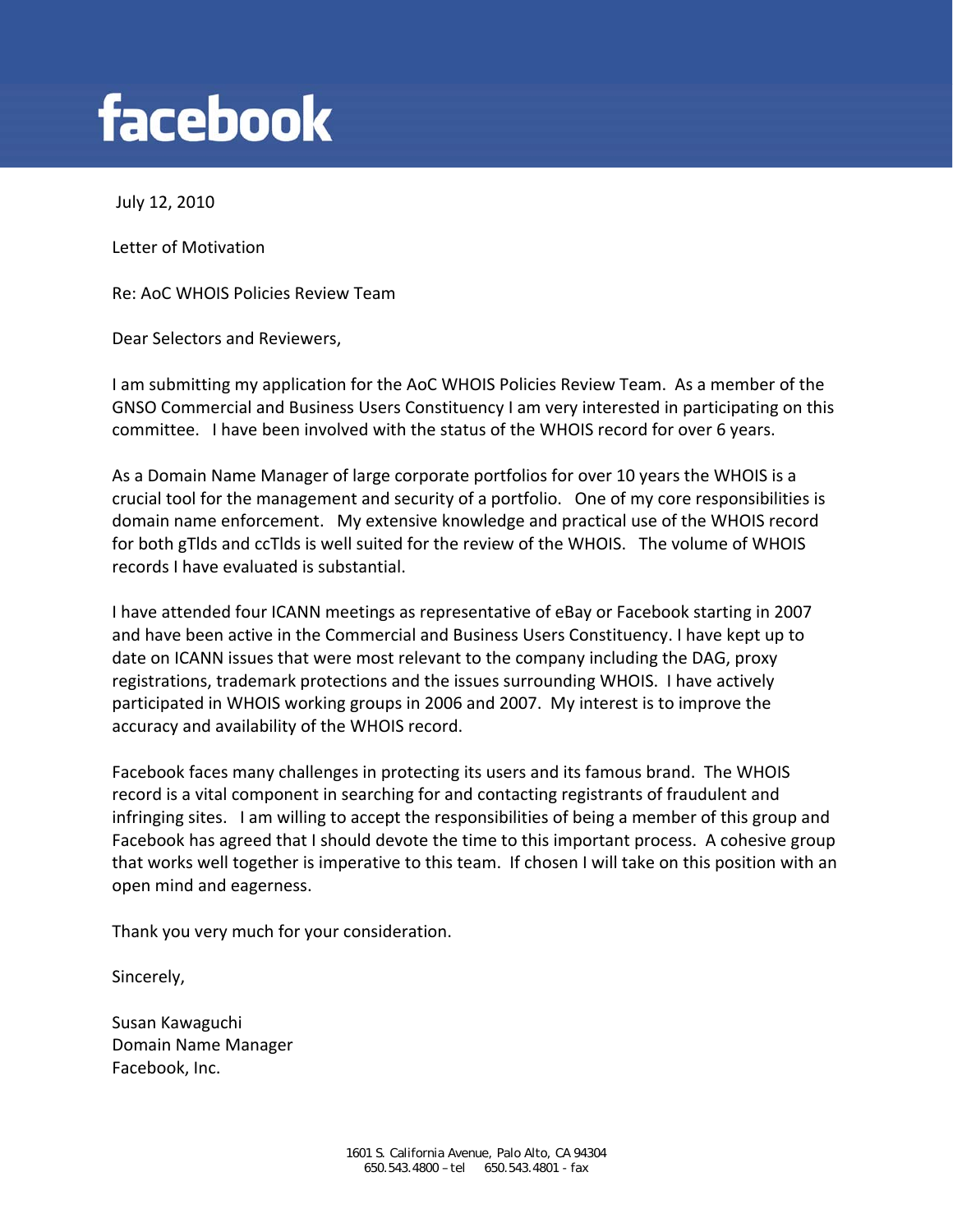## **facebook**

July 12, 2010

Letter of Motivation

Re: AoC WHOIS Policies Review Team

Dear Selectors and Reviewers,

I am submitting my application for the AoC WHOIS Policies Review Team. As a member of the GNSO Commercial and Business Users Constituency I am very interested in participating on this committee. I have been involved with the status of the WHOIS record for over 6 years.

As a Domain Name Manager of large corporate portfolios for over 10 years the WHOIS is a crucial tool for the management and security of a portfolio. One of my core responsibilities is domain name enforcement. My extensive knowledge and practical use of the WHOIS record for both gTlds and ccTlds is well suited for the review of the WHOIS. The volume of WHOIS records I have evaluated is substantial.

I have attended four ICANN meetings as representative of eBay or Facebook starting in 2007 and have been active in the Commercial and Business Users Constituency. I have kept up to date on ICANN issues that were most relevant to the company including the DAG, proxy registrations, trademark protections and the issues surrounding WHOIS. I have actively participated in WHOIS working groups in 2006 and 2007. My interest is to improve the accuracy and availability of the WHOIS record.

Facebook faces many challenges in protecting its users and its famous brand. The WHOIS record is a vital component in searching for and contacting registrants of fraudulent and infringing sites. I am willing to accept the responsibilities of being a member of this group and Facebook has agreed that I should devote the time to this important process. A cohesive group that works well together is imperative to this team. If chosen I will take on this position with an open mind and eagerness.

Thank you very much for your consideration.

Sincerely,

Susan Kawaguchi Domain Name Manager Facebook, Inc.